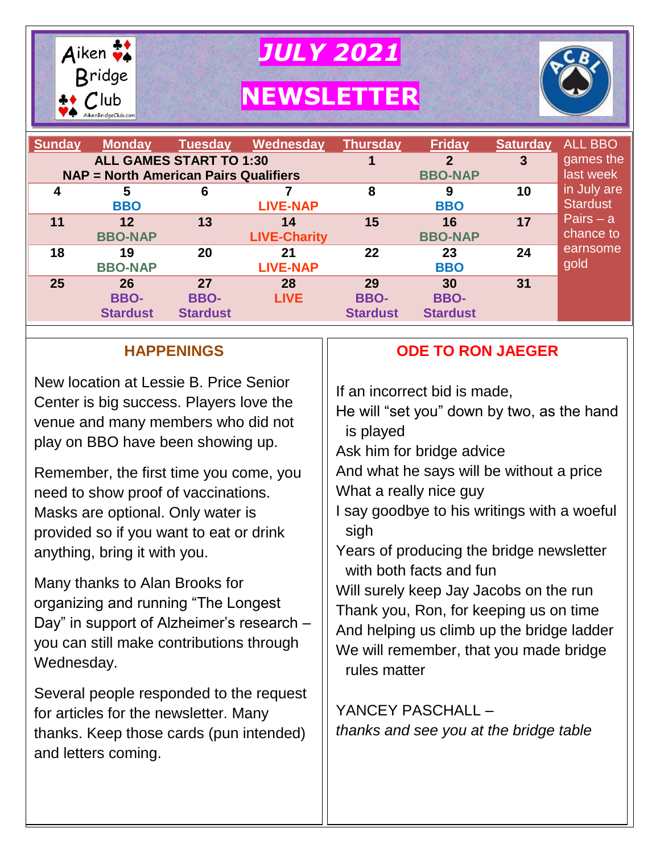

*JULY 2021*

**NEWSLETTER**



| <b>Sunday</b><br><b>Monday</b><br><b>Tuesday</b><br>Wednesday<br><b>ALL GAMES START TO 1:30</b><br><b>NAP = North American Pairs Qualifiers</b> |                                      |                                      |                           | <b>Thursday</b>                      | <b>Friday</b><br>$\overline{2}$<br><b>BBO-NAP</b> | <b>Saturday</b><br>3 | <b>ALL BBO</b><br>games the<br>last week |
|-------------------------------------------------------------------------------------------------------------------------------------------------|--------------------------------------|--------------------------------------|---------------------------|--------------------------------------|---------------------------------------------------|----------------------|------------------------------------------|
| 4                                                                                                                                               | 5<br><b>BBO</b>                      | 6                                    | <b>LIVE-NAP</b>           | 8                                    | 9<br><b>BBO</b>                                   | 10                   | in July are<br><b>Stardust</b>           |
| 11                                                                                                                                              | 12<br><b>BBO-NAP</b>                 | 13                                   | 14<br><b>LIVE-Charity</b> | 15                                   | 16<br><b>BBO-NAP</b>                              | 17                   | Pairs $- a$<br>chance to                 |
| 18                                                                                                                                              | 19<br><b>BBO-NAP</b>                 | 20                                   | 21<br><b>LIVE-NAP</b>     | 22                                   | 23<br><b>BBO</b>                                  | 24                   | earnsome<br>gold                         |
| 25                                                                                                                                              | 26<br><b>BBO-</b><br><b>Stardust</b> | 27<br><b>BBO-</b><br><b>Stardust</b> | 28<br><b>LIVE</b>         | 29<br><b>BBO-</b><br><b>Stardust</b> | 30<br><b>BBO-</b><br><b>Stardust</b>              | 31                   |                                          |

## **HAPPENINGS**

New location at Lessie B. Price Senior Center is big success. Players love the venue and many members who did not play on BBO have been showing up.

Remember, the first time you come, you need to show proof of vaccinations. Masks are optional. Only water is provided so if you want to eat or drink anything, bring it with you.

Many thanks to Alan Brooks for organizing and running "The Longest Day" in support of Alzheimer's research – you can still make contributions through Wednesday.

Several people responded to the request for articles for the newsletter. Many thanks. Keep those cards (pun intended) and letters coming.

## **ODE TO RON JAEGER**

If an incorrect bid is made,

He will "set you" down by two, as the hand is played

Ask him for bridge advice

And what he says will be without a price What a really nice guy

- I say goodbye to his writings with a woeful sigh
- Years of producing the bridge newsletter with both facts and fun

Will surely keep Jay Jacobs on the run Thank you, Ron, for keeping us on time And helping us climb up the bridge ladder We will remember, that you made bridge rules matter

YANCEY PASCHALL – *thanks and see you at the bridge table*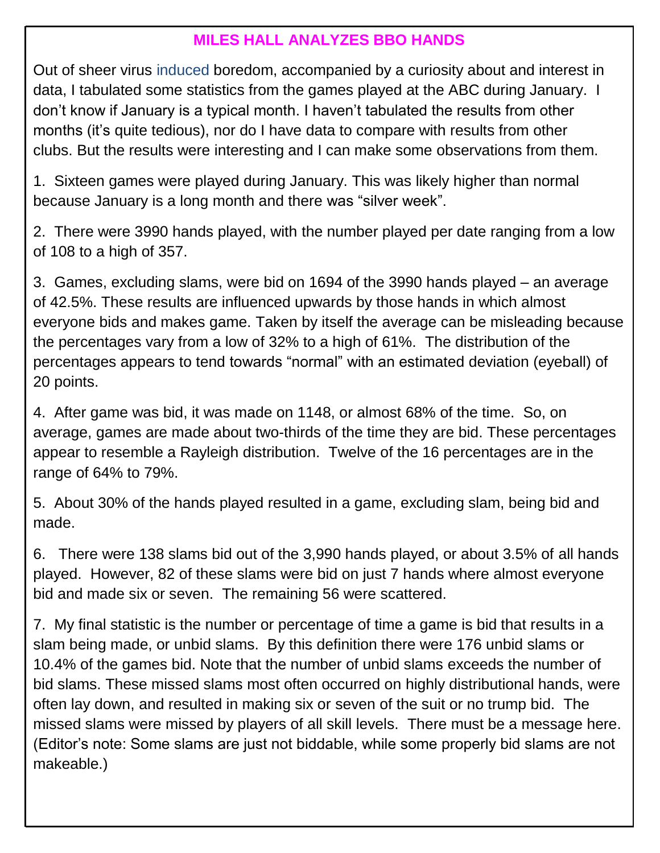## **MILES HALL ANALYZES BBO HANDS**

Out of sheer virus induced boredom, accompanied by a curiosity about and interest in data, I tabulated some statistics from the games played at the ABC during January. I don't know if January is a typical month. I haven't tabulated the results from other months (it's quite tedious), nor do I have data to compare with results from other clubs. But the results were interesting and I can make some observations from them.

1. Sixteen games were played during January. This was likely higher than normal because January is a long month and there was "silver week".

2. There were 3990 hands played, with the number played per date ranging from a low of 108 to a high of 357.

3. Games, excluding slams, were bid on 1694 of the 3990 hands played – an average of 42.5%. These results are influenced upwards by those hands in which almost everyone bids and makes game. Taken by itself the average can be misleading because the percentages vary from a low of 32% to a high of 61%. The distribution of the percentages appears to tend towards "normal" with an estimated deviation (eyeball) of 20 points.

4. After game was bid, it was made on 1148, or almost 68% of the time. So, on average, games are made about two-thirds of the time they are bid. These percentages appear to resemble a Rayleigh distribution. Twelve of the 16 percentages are in the range of 64% to 79%.

5. About 30% of the hands played resulted in a game, excluding slam, being bid and made.

6. There were 138 slams bid out of the 3,990 hands played, or about 3.5% of all hands played. However, 82 of these slams were bid on just 7 hands where almost everyone bid and made six or seven. The remaining 56 were scattered.

7. My final statistic is the number or percentage of time a game is bid that results in a slam being made, or unbid slams. By this definition there were 176 unbid slams or 10.4% of the games bid. Note that the number of unbid slams exceeds the number of bid slams. These missed slams most often occurred on highly distributional hands, were often lay down, and resulted in making six or seven of the suit or no trump bid. The missed slams were missed by players of all skill levels. There must be a message here. (Editor's note: Some slams are just not biddable, while some properly bid slams are not makeable.)

 $\overline{a}$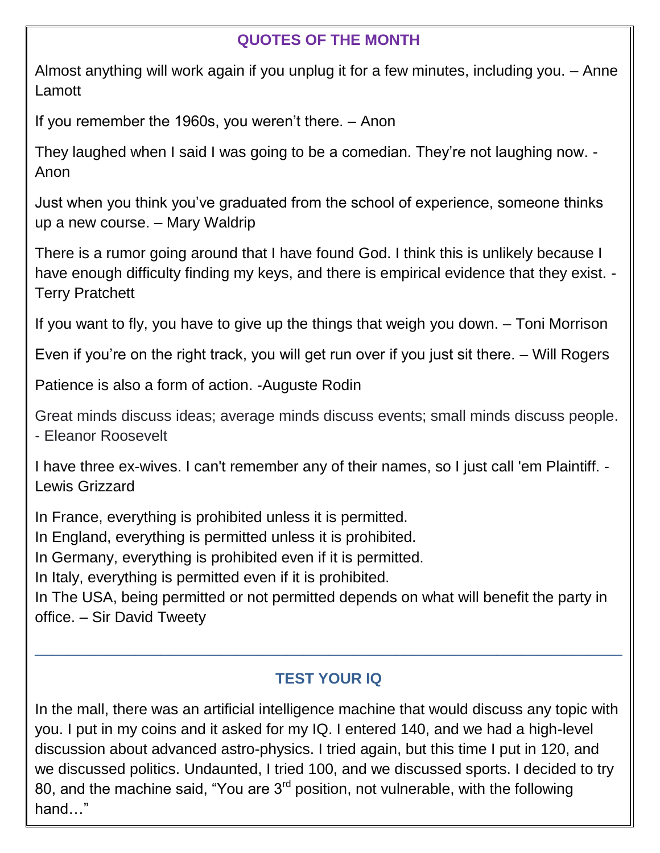## **QUOTES OF THE MONTH**

Almost anything will work again if you unplug it for a few minutes, including you. – Anne Lamott

If you remember the 1960s, you weren't there. – Anon

They laughed when I said I was going to be a comedian. They're not laughing now. - Anon

Just when you think you've graduated from the school of experience, someone thinks up a new course. – Mary Waldrip

 There is a rumor going around that I have found God. I think this is unlikely because I have enough difficulty finding my keys, and there is empirical evidence that they exist. - Terry Pratchett

If you want to fly, you have to give up the things that weigh you down. – Toni Morrison

Even if you're on the right track, you will get run over if you just sit there. – Will Rogers

Patience is also a form of action. -Auguste Rodin

Great minds discuss ideas; average minds discuss events; small minds discuss people. - Eleanor Roosevelt

I have three ex-wives. I can't remember any of their names, so I just call 'em Plaintiff. - Lewis Grizzard

In France, everything is prohibited unless it is permitted.

In England, everything is permitted unless it is prohibited.

In Germany, everything is prohibited even if it is permitted.

In Italy, everything is permitted even if it is prohibited.

In The USA, being permitted or not permitted depends on what will benefit the party in office. – Sir David Tweety

## **TEST YOUR IQ**

 $\_$  , and the contribution of the contribution of  $\mathcal{L}_1$  , and the contribution of  $\mathcal{L}_2$  , and the contribution of  $\mathcal{L}_1$ 

In the mall, there was an artificial intelligence machine that would discuss any topic with you. I put in my coins and it asked for my IQ. I entered 140, and we had a high-level discussion about advanced astro-physics. I tried again, but this time I put in 120, and we discussed politics. Undaunted, I tried 100, and we discussed sports. I decided to try 80, and the machine said, "You are  $3<sup>rd</sup>$  position, not vulnerable, with the following hand…"

**Dental Bridge**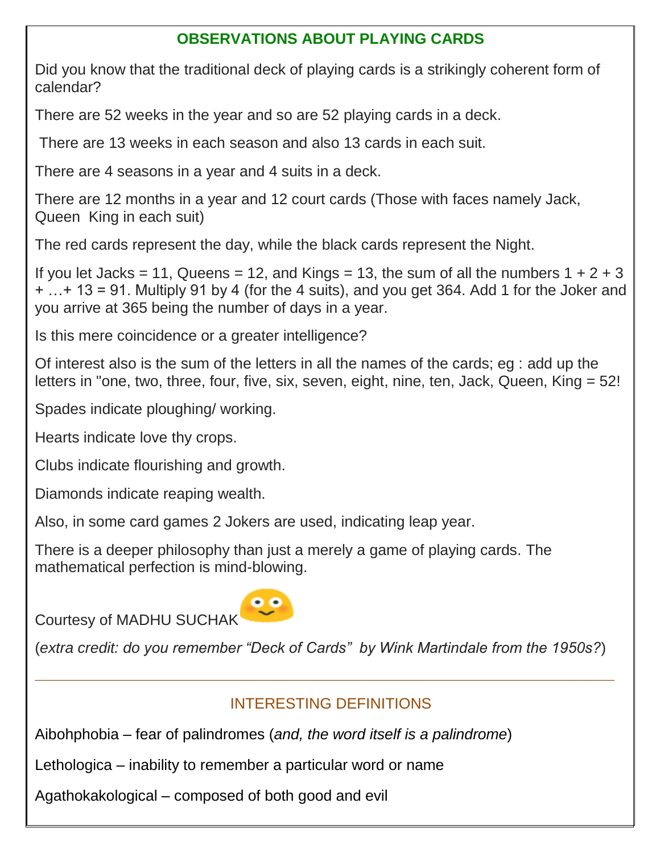## **OBSERVATIONS ABOUT PLAYING CARDS**

Did you know that the traditional deck of playing cards is a strikingly coherent form of calendar?

There are 52 weeks in the year and so are 52 playing cards in a deck.

There are 13 weeks in each season and also 13 cards in each suit.

There are 4 seasons in a year and 4 suits in a deck.

There are 12 months in a year and 12 court cards (Those with faces namely Jack, Queen King in each suit)

The red cards represent the day, while the black cards represent the Night.

If you let Jacks = 11, Queens = 12, and Kings = 13, the sum of all the numbers  $1 + 2 + 3$ + …+ 13 = 91. Multiply 91 by 4 (for the 4 suits), and you get 364. Add 1 for the Joker and you arrive at 365 being the number of days in a year.

Is this mere coincidence or a greater intelligence?

Of interest also is the sum of the letters in all the names of the cards; eg : add up the letters in "one, two, three, four, five, six, seven, eight, nine, ten, Jack, Queen, King = 52!

Spades indicate ploughing/ working.

Hearts indicate love thy crops.

Clubs indicate flourishing and growth.

Diamonds indicate reaping wealth.

Also, in some card games 2 Jokers are used, indicating leap year.

There is a deeper philosophy than just a merely a game of playing cards. The mathematical perfection is mind-blowing.

Courtesy of MADHU SUCHAK



(*extra credit: do you remember "Deck of Cards" by Wink Martindale from the 1950s?*)

 $\_$  , and the set of the set of the set of the set of the set of the set of the set of the set of the set of the set of the set of the set of the set of the set of the set of the set of the set of the set of the set of th

# INTERESTING DEFINITIONS

Aibohphobia – fear of palindromes (*and, the word itself is a palindrome*)

Lethologica – inability to remember a particular word or name

Agathokakological – composed of both good and evil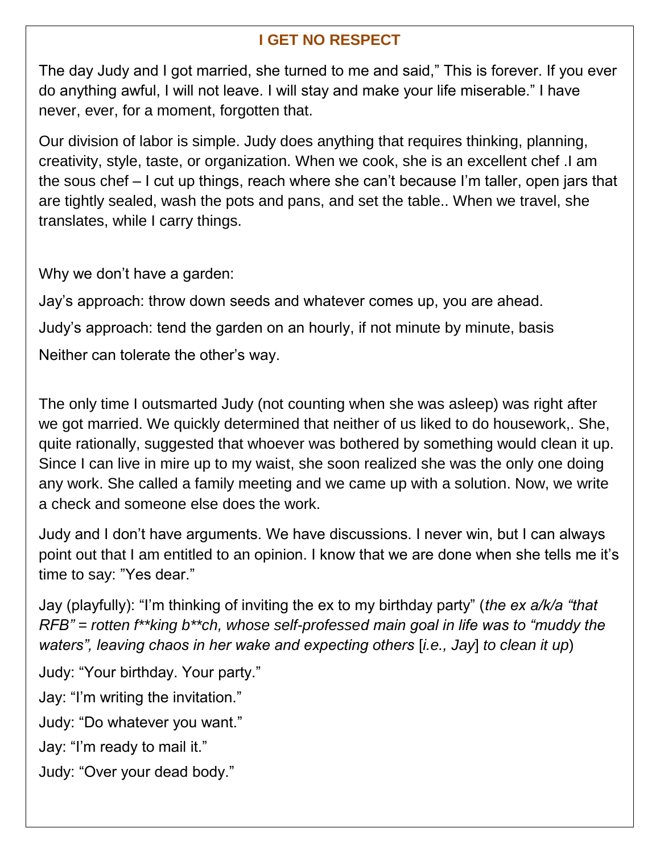## **I GET NO RESPECT**

The day Judy and I got married, she turned to me and said," This is forever. If you ever do anything awful, I will not leave. I will stay and make your life miserable." I have never, ever, for a moment, forgotten that.

Our division of labor is simple. Judy does anything that requires thinking, planning, creativity, style, taste, or organization. When we cook, she is an excellent chef .I am the sous chef – I cut up things, reach where she can't because I'm taller, open jars that are tightly sealed, wash the pots and pans, and set the table.. When we travel, she translates, while I carry things.

Why we don't have a garden:

Jay's approach: throw down seeds and whatever comes up, you are ahead. Judy's approach: tend the garden on an hourly, if not minute by minute, basis Neither can tolerate the other's way.

The only time I outsmarted Judy (not counting when she was asleep) was right after we got married. We quickly determined that neither of us liked to do housework,. She, quite rationally, suggested that whoever was bothered by something would clean it up. Since I can live in mire up to my waist, she soon realized she was the only one doing any work. She called a family meeting and we came up with a solution. Now, we write a check and someone else does the work.

Judy and I don't have arguments. We have discussions. I never win, but I can always point out that I am entitled to an opinion. I know that we are done when she tells me it's time to say: "Yes dear."

Jay (playfully): "I'm thinking of inviting the ex to my birthday party" (*the ex a/k/a "that RFB" = rotten f\*\*king b\*\*ch, whose self-professed main goal in life was to "muddy the waters", leaving chaos in her wake and expecting others* [*i.e., Jay*] *to clean it up*)

Judy: "Your birthday. Your party."

Jay: "I'm writing the invitation."

Judy: "Do whatever you want."

Jay: "I'm ready to mail it."

Judy: "Over your dead body."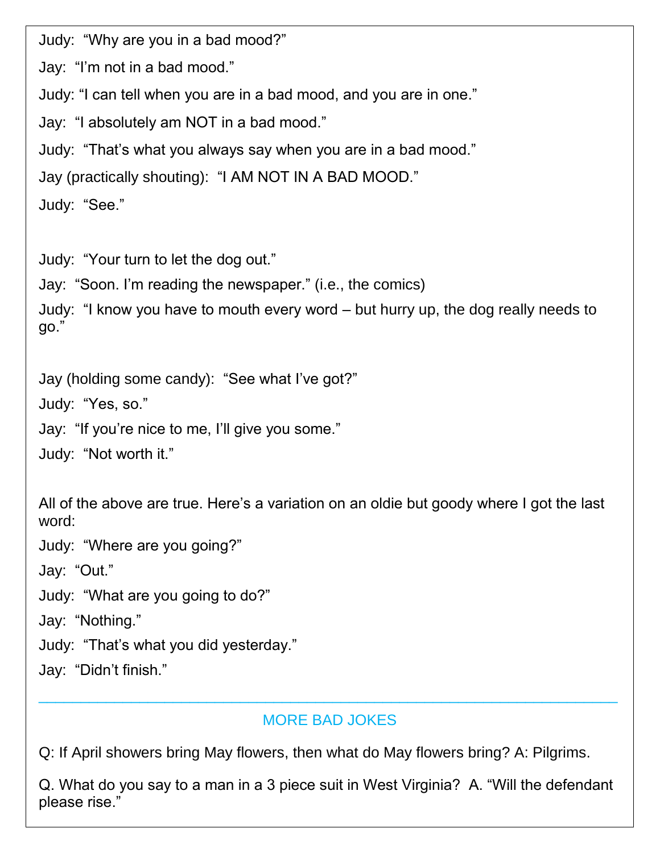Judy: "Why are you in a bad mood?"

Jay: "I'm not in a bad mood."

Judy: "I can tell when you are in a bad mood, and you are in one."

Jay: "I absolutely am NOT in a bad mood."

Judy: "That's what you always say when you are in a bad mood."

Jay (practically shouting): "I AM NOT IN A BAD MOOD."

Judy: "See."

Judy: "Your turn to let the dog out."

Jay: "Soon. I'm reading the newspaper." (i.e., the comics)

Judy: "I know you have to mouth every word – but hurry up, the dog really needs to go."

Jay (holding some candy): "See what I've got?" Judy: "Yes, so." Jay: "If you're nice to me, I'll give you some." Judy: "Not worth it."

All of the above are true. Here's a variation on an oldie but goody where I got the last word:

Judy: "Where are you going?"

Jay: "Out."

Judy: "What are you going to do?"

Jay: "Nothing."

Judy: "That's what you did yesterday."

Jay: "Didn't finish."

#### MORE BAD JOKES

 $\_$  , and the contribution of the contribution of  $\mathcal{L}_1$  , and the contribution of  $\mathcal{L}_2$  , and the contribution of  $\mathcal{L}_1$ 

Q: If April showers bring May flowers, then what do May flowers bring? A: Pilgrims.

Q. What do you say to a man in a 3 piece suit in West Virginia? A. "Will the defendant please rise."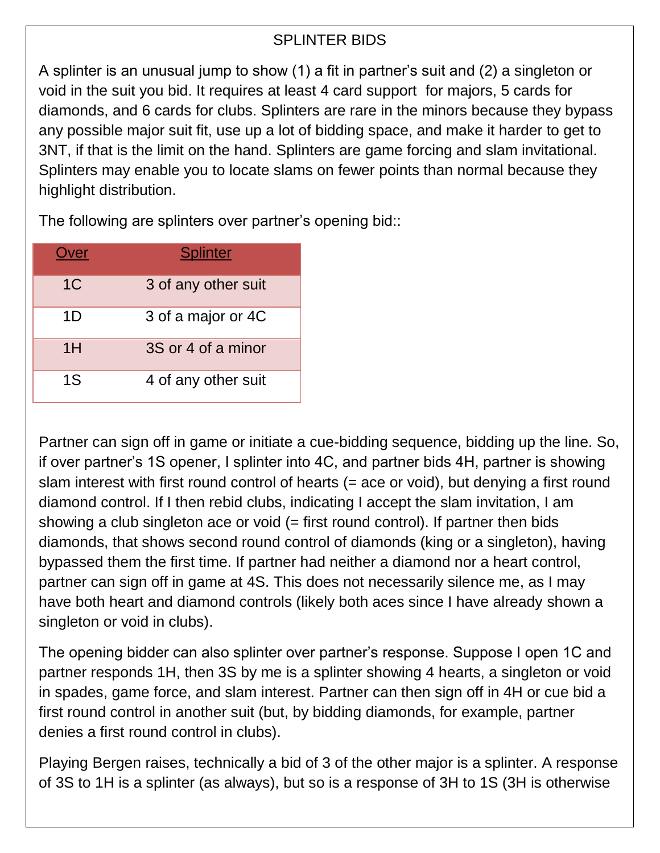## SPLINTER BIDS

A splinter is an unusual jump to show (1) a fit in partner's suit and (2) a singleton or void in the suit you bid. It requires at least 4 card support for majors, 5 cards for diamonds, and 6 cards for clubs. Splinters are rare in the minors because they bypass any possible major suit fit, use up a lot of bidding space, and make it harder to get to 3NT, if that is the limit on the hand. Splinters are game forcing and slam invitational. Splinters may enable you to locate slams on fewer points than normal because they highlight distribution.

The following are splinters over partner's opening bid::

| )ver           | <b>Splinter</b>     |
|----------------|---------------------|
| 1 <sup>C</sup> | 3 of any other suit |
| 1D             | 3 of a major or 4C  |
| 1H             | 3S or 4 of a minor  |
| 1S             | 4 of any other suit |

Partner can sign off in game or initiate a cue-bidding sequence, bidding up the line. So, if over partner's 1S opener, I splinter into 4C, and partner bids 4H, partner is showing slam interest with first round control of hearts (= ace or void), but denying a first round diamond control. If I then rebid clubs, indicating I accept the slam invitation, I am showing a club singleton ace or void  $(=$  first round control). If partner then bids diamonds, that shows second round control of diamonds (king or a singleton), having bypassed them the first time. If partner had neither a diamond nor a heart control, partner can sign off in game at 4S. This does not necessarily silence me, as I may have both heart and diamond controls (likely both aces since I have already shown a singleton or void in clubs).

The opening bidder can also splinter over partner's response. Suppose I open 1C and partner responds 1H, then 3S by me is a splinter showing 4 hearts, a singleton or void in spades, game force, and slam interest. Partner can then sign off in 4H or cue bid a first round control in another suit (but, by bidding diamonds, for example, partner denies a first round control in clubs).

Playing Bergen raises, technically a bid of 3 of the other major is a splinter. A response of 3S to 1H is a splinter (as always), but so is a response of 3H to 1S (3H is otherwise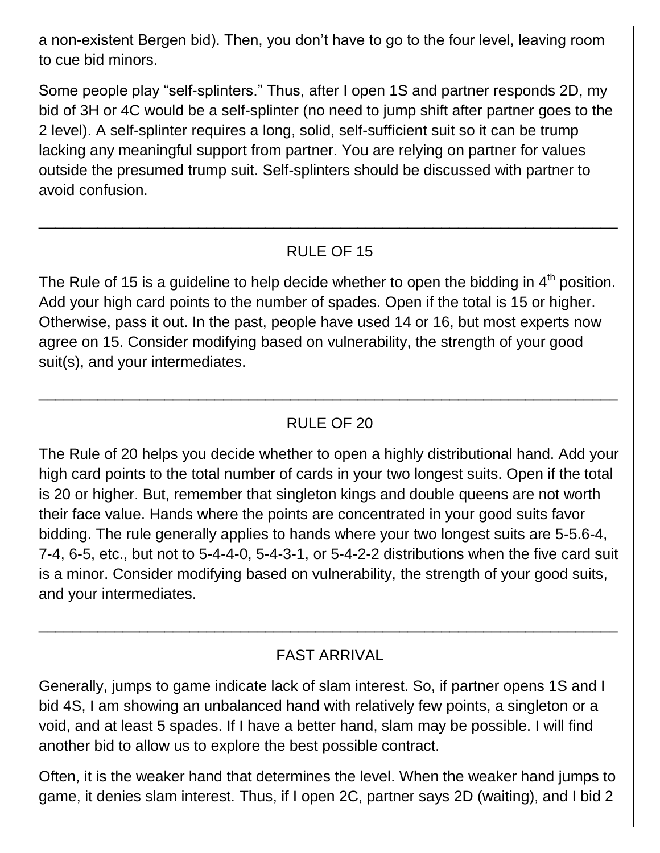a non-existent Bergen bid). Then, you don't have to go to the four level, leaving room to cue bid minors.

Some people play "self-splinters." Thus, after I open 1S and partner responds 2D, my bid of 3H or 4C would be a self-splinter (no need to jump shift after partner goes to the 2 level). A self-splinter requires a long, solid, self-sufficient suit so it can be trump lacking any meaningful support from partner. You are relying on partner for values outside the presumed trump suit. Self-splinters should be discussed with partner to avoid confusion.

#### RULE OF 15

\_\_\_\_\_\_\_\_\_\_\_\_\_\_\_\_\_\_\_\_\_\_\_\_\_\_\_\_\_\_\_\_\_\_\_\_\_\_\_\_\_\_\_\_\_\_\_\_\_\_\_\_\_\_\_\_\_\_\_\_\_\_\_\_\_\_\_\_\_

The Rule of 15 is a guideline to help decide whether to open the bidding in  $4<sup>th</sup>$  position. Add your high card points to the number of spades. Open if the total is 15 or higher. Otherwise, pass it out. In the past, people have used 14 or 16, but most experts now agree on 15. Consider modifying based on vulnerability, the strength of your good suit(s), and your intermediates.

### RULE OF 20

\_\_\_\_\_\_\_\_\_\_\_\_\_\_\_\_\_\_\_\_\_\_\_\_\_\_\_\_\_\_\_\_\_\_\_\_\_\_\_\_\_\_\_\_\_\_\_\_\_\_\_\_\_\_\_\_\_\_\_\_\_\_\_\_\_\_\_\_\_

The Rule of 20 helps you decide whether to open a highly distributional hand. Add your high card points to the total number of cards in your two longest suits. Open if the total is 20 or higher. But, remember that singleton kings and double queens are not worth their face value. Hands where the points are concentrated in your good suits favor bidding. The rule generally applies to hands where your two longest suits are 5-5.6-4, 7-4, 6-5, etc., but not to 5-4-4-0, 5-4-3-1, or 5-4-2-2 distributions when the five card suit is a minor. Consider modifying based on vulnerability, the strength of your good suits, and your intermediates.

### FAST ARRIVAL

\_\_\_\_\_\_\_\_\_\_\_\_\_\_\_\_\_\_\_\_\_\_\_\_\_\_\_\_\_\_\_\_\_\_\_\_\_\_\_\_\_\_\_\_\_\_\_\_\_\_\_\_\_\_\_\_\_\_\_\_\_\_\_\_\_\_\_\_\_

Generally, jumps to game indicate lack of slam interest. So, if partner opens 1S and I bid 4S, I am showing an unbalanced hand with relatively few points, a singleton or a void, and at least 5 spades. If I have a better hand, slam may be possible. I will find another bid to allow us to explore the best possible contract.

Often, it is the weaker hand that determines the level. When the weaker hand jumps to game, it denies slam interest. Thus, if I open 2C, partner says 2D (waiting), and I bid 2